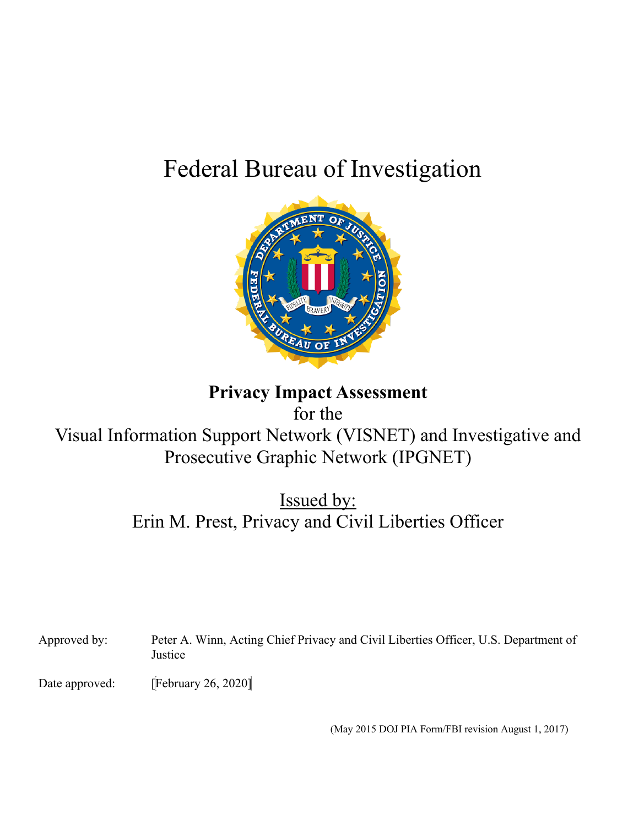# Federal Bureau of Investigation



# **Privacy Impact Assessment**

for the

Visual Information Support Network (VISNET) and Investigative and Prosecutive Graphic Network (IPGNET)

> Issued by: Erin M. Prest, Privacy and Civil Liberties Officer

Approved by: Peter A. Winn, Acting Chief Privacy and Civil Liberties Officer, U.S. Department of Justice

Date approved: [February 26, 2020]

(May 2015 DOJ PIA Form/FBI revision August 1, 2017)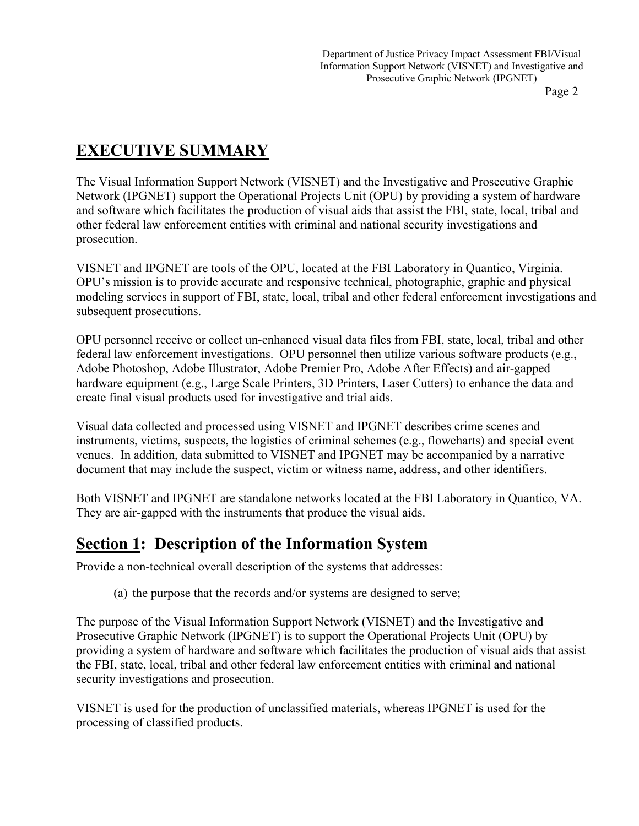# **EXECUTIVE SUMMARY**

The Visual Information Support Network (VISNET) and the Investigative and Prosecutive Graphic Network (IPGNET) support the Operational Projects Unit (OPU) by providing a system of hardware and software which facilitates the production of visual aids that assist the FBI, state, local, tribal and other federal law enforcement entities with criminal and national security investigations and prosecution.

VISNET and IPGNET are tools of the OPU, located at the FBI Laboratory in Quantico, Virginia. OPU's mission is to provide accurate and responsive technical, photographic, graphic and physical modeling services in support of FBI, state, local, tribal and other federal enforcement investigations and subsequent prosecutions.

OPU personnel receive or collect un-enhanced visual data files from FBI, state, local, tribal and other federal law enforcement investigations. OPU personnel then utilize various software products (e.g., Adobe Photoshop, Adobe Illustrator, Adobe Premier Pro, Adobe After Effects) and air-gapped hardware equipment (e.g., Large Scale Printers, 3D Printers, Laser Cutters) to enhance the data and create final visual products used for investigative and trial aids.

Visual data collected and processed using VISNET and IPGNET describes crime scenes and instruments, victims, suspects, the logistics of criminal schemes (e.g., flowcharts) and special event venues. In addition, data submitted to VISNET and IPGNET may be accompanied by a narrative document that may include the suspect, victim or witness name, address, and other identifiers.

Both VISNET and IPGNET are standalone networks located at the FBI Laboratory in Quantico, VA. They are air-gapped with the instruments that produce the visual aids.

# **Section 1: Description of the Information System**

Provide a non-technical overall description of the systems that addresses:

(a) the purpose that the records and/or systems are designed to serve;

The purpose of the Visual Information Support Network (VISNET) and the Investigative and Prosecutive Graphic Network (IPGNET) is to support the Operational Projects Unit (OPU) by providing a system of hardware and software which facilitates the production of visual aids that assist the FBI, state, local, tribal and other federal law enforcement entities with criminal and national security investigations and prosecution.

VISNET is used for the production of unclassified materials, whereas IPGNET is used for the processing of classified products.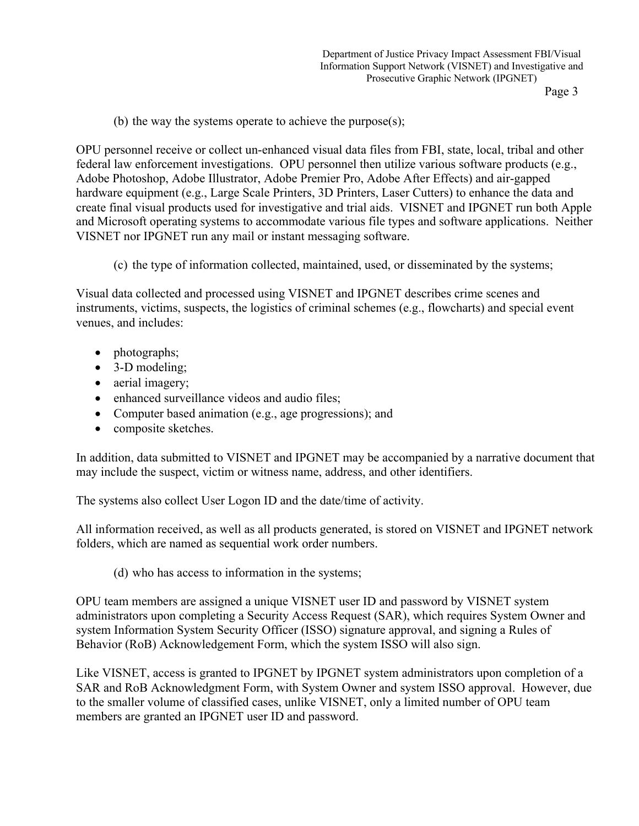(b) the way the systems operate to achieve the purpose(s);

OPU personnel receive or collect un-enhanced visual data files from FBI, state, local, tribal and other federal law enforcement investigations. OPU personnel then utilize various software products (e.g., Adobe Photoshop, Adobe Illustrator, Adobe Premier Pro, Adobe After Effects) and air-gapped hardware equipment (e.g., Large Scale Printers, 3D Printers, Laser Cutters) to enhance the data and create final visual products used for investigative and trial aids. VISNET and IPGNET run both Apple and Microsoft operating systems to accommodate various file types and software applications. Neither VISNET nor IPGNET run any mail or instant messaging software.

(c) the type of information collected, maintained, used, or disseminated by the systems;

Visual data collected and processed using VISNET and IPGNET describes crime scenes and instruments, victims, suspects, the logistics of criminal schemes (e.g., flowcharts) and special event venues, and includes:

- photographs;
- 3-D modeling;
- aerial imagery;
- enhanced surveillance videos and audio files:
- Computer based animation (e.g., age progressions); and
- composite sketches.

In addition, data submitted to VISNET and IPGNET may be accompanied by a narrative document that may include the suspect, victim or witness name, address, and other identifiers.

The systems also collect User Logon ID and the date/time of activity.

All information received, as well as all products generated, is stored on VISNET and IPGNET network folders, which are named as sequential work order numbers.

(d) who has access to information in the systems;

OPU team members are assigned a unique VISNET user ID and password by VISNET system administrators upon completing a Security Access Request (SAR), which requires System Owner and system Information System Security Officer (ISSO) signature approval, and signing a Rules of Behavior (RoB) Acknowledgement Form, which the system ISSO will also sign.

Like VISNET, access is granted to IPGNET by IPGNET system administrators upon completion of a SAR and RoB Acknowledgment Form, with System Owner and system ISSO approval. However, due to the smaller volume of classified cases, unlike VISNET, only a limited number of OPU team members are granted an IPGNET user ID and password.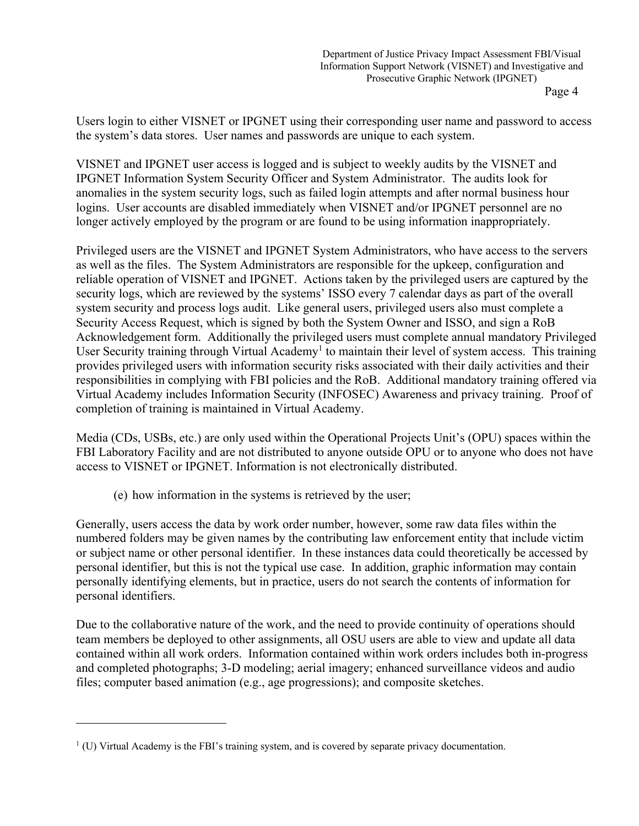Users login to either VISNET or IPGNET using their corresponding user name and password to access the system's data stores. User names and passwords are unique to each system.

VISNET and IPGNET user access is logged and is subject to weekly audits by the VISNET and IPGNET Information System Security Officer and System Administrator. The audits look for anomalies in the system security logs, such as failed login attempts and after normal business hour logins. User accounts are disabled immediately when VISNET and/or IPGNET personnel are no longer actively employed by the program or are found to be using information inappropriately.

Privileged users are the VISNET and IPGNET System Administrators, who have access to the servers as well as the files. The System Administrators are responsible for the upkeep, configuration and reliable operation of VISNET and IPGNET. Actions taken by the privileged users are captured by the security logs, which are reviewed by the systems' ISSO every 7 calendar days as part of the overall system security and process logs audit. Like general users, privileged users also must complete a Security Access Request, which is signed by both the System Owner and ISSO, and sign a RoB Acknowledgement form. Additionally the privileged users must complete annual mandatory Privileged User Security training through Virtual Academy<sup>1</sup> to maintain their level of system access. This training provides privileged users with information security risks associated with their daily activities and their responsibilities in complying with FBI policies and the RoB. Additional mandatory training offered via Virtual Academy includes Information Security (INFOSEC) Awareness and privacy training. Proof of completion of training is maintained in Virtual Academy.

Media (CDs, USBs, etc.) are only used within the Operational Projects Unit's (OPU) spaces within the FBI Laboratory Facility and are not distributed to anyone outside OPU or to anyone who does not have access to VISNET or IPGNET. Information is not electronically distributed.

(e) how information in the systems is retrieved by the user;

Generally, users access the data by work order number, however, some raw data files within the numbered folders may be given names by the contributing law enforcement entity that include victim or subject name or other personal identifier. In these instances data could theoretically be accessed by personal identifier, but this is not the typical use case. In addition, graphic information may contain personally identifying elements, but in practice, users do not search the contents of information for personal identifiers.

Due to the collaborative nature of the work, and the need to provide continuity of operations should team members be deployed to other assignments, all OSU users are able to view and update all data contained within all work orders. Information contained within work orders includes both in-progress and completed photographs; 3-D modeling; aerial imagery; enhanced surveillance videos and audio files; computer based animation (e.g., age progressions); and composite sketches.

 $<sup>1</sup>$  (U) Virtual Academy is the FBI's training system, and is covered by separate privacy documentation.</sup>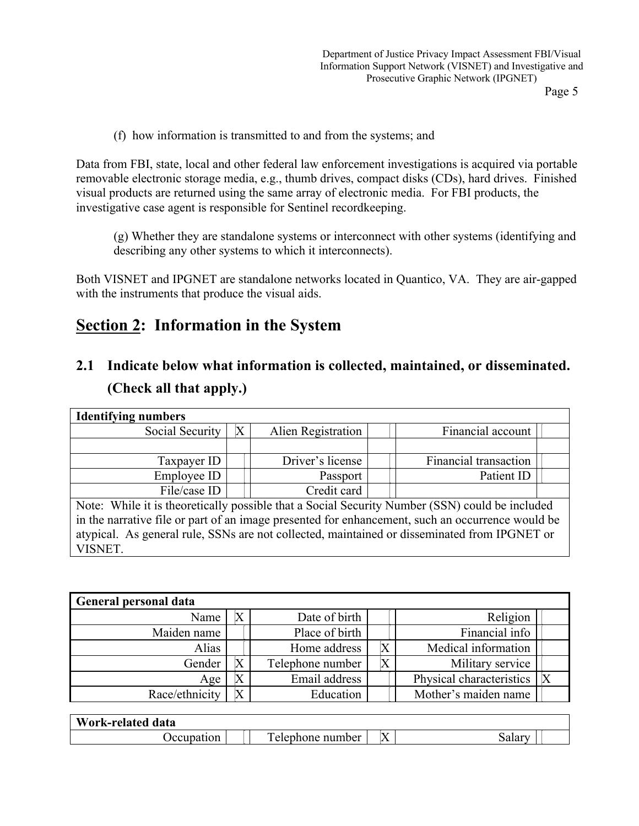(f) how information is transmitted to and from the systems; and

Data from FBI, state, local and other federal law enforcement investigations is acquired via portable removable electronic storage media, e.g., thumb drives, compact disks (CDs), hard drives. Finished visual products are returned using the same array of electronic media. For FBI products, the investigative case agent is responsible for Sentinel recordkeeping.

(g) Whether they are standalone systems or interconnect with other systems (identifying and describing any other systems to which it interconnects).

Both VISNET and IPGNET are standalone networks located in Quantico, VA. They are air-gapped with the instruments that produce the visual aids.

# **Section 2: Information in the System**

# **2.1 Indicate below what information is collected, maintained, or disseminated. (Check all that apply.)**

| <b>Identifying numbers</b>                                                                       |                           |                    |  |                       |  |  |
|--------------------------------------------------------------------------------------------------|---------------------------|--------------------|--|-----------------------|--|--|
| Social Security                                                                                  | $\boldsymbol{\mathrm{X}}$ | Alien Registration |  | Financial account     |  |  |
|                                                                                                  |                           |                    |  |                       |  |  |
| Taxpayer ID                                                                                      |                           | Driver's license   |  | Financial transaction |  |  |
| Employee ID                                                                                      |                           | Passport           |  | Patient ID            |  |  |
| File/case ID                                                                                     |                           | Credit card        |  |                       |  |  |
| Note: While it is theoretically possible that a Social Security Number (SSN) could be included   |                           |                    |  |                       |  |  |
| in the narrative file or part of an image presented for enhancement, such an occurrence would be |                           |                    |  |                       |  |  |
| atypical. As general rule, SSNs are not collected, maintained or disseminated from IPGNET or     |                           |                    |  |                       |  |  |
| VISNET.                                                                                          |                           |                    |  |                       |  |  |

VISNET.

| General personal data |  |                  |   |                          |  |  |  |  |
|-----------------------|--|------------------|---|--------------------------|--|--|--|--|
| Name                  |  | Date of birth    |   | Religion                 |  |  |  |  |
| Maiden name           |  | Place of birth   |   | Financial info           |  |  |  |  |
| Alias                 |  | Home address     |   | Medical information      |  |  |  |  |
| Gender                |  | Telephone number | Χ | Military service         |  |  |  |  |
| Age                   |  | Email address    |   | Physical characteristics |  |  |  |  |
| Race/ethnicity        |  | Education        |   | Mother's maiden name     |  |  |  |  |

| Work-related data |                                             |           |  |
|-------------------|---------------------------------------------|-----------|--|
| Jecupation        | $\overline{\phantom{a}}$<br>elephone number | $\Lambda$ |  |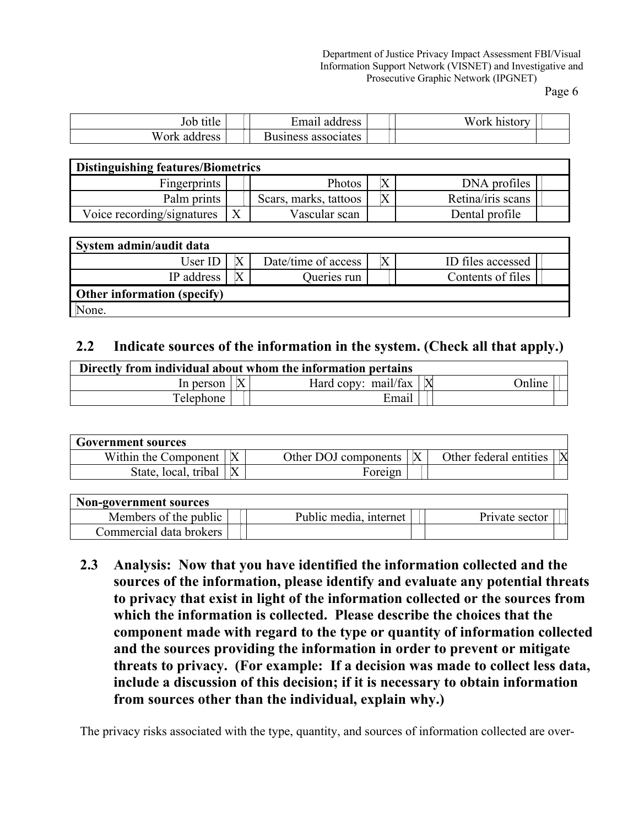Department of Justice Privacy Impact Assessment FBI/Visual Information Support Network (VISNET) and Investigative and Prosecutive Graphic Network (IPGNET)

Page 6

| title<br>JOD     | ∹mail<br>address     | Work<br>history |
|------------------|----------------------|-----------------|
| W ork<br>address | associates<br>siness |                 |

| <b>Distinguishing features/Biometrics</b> |  |                       |    |                   |  |  |  |
|-------------------------------------------|--|-----------------------|----|-------------------|--|--|--|
| Fingerprints                              |  | Photos                | IЛ | DNA profiles      |  |  |  |
| Palm prints                               |  | Scars, marks, tattoos | Χ  | Retina/iris scans |  |  |  |
| Voice recording/signatures                |  | Vascular scan         |    | Dental profile    |  |  |  |

| System admin/audit data     |  |                     |  |                   |  |  |  |
|-----------------------------|--|---------------------|--|-------------------|--|--|--|
| User ID                     |  | Date/time of access |  | ID files accessed |  |  |  |
| IP address                  |  | Queries run         |  | Contents of files |  |  |  |
| Other information (specify) |  |                     |  |                   |  |  |  |
| None.                       |  |                     |  |                   |  |  |  |

#### **2.2 Indicate sources of the information in the system. (Check all that apply.)**

| Directly from individual about whom the information pertains |  |                     |  |               |  |  |
|--------------------------------------------------------------|--|---------------------|--|---------------|--|--|
| In person                                                    |  | Hard copy: mail/fax |  | <b>Online</b> |  |  |
| Telephone                                                    |  | Email               |  |               |  |  |

| Government sources   |                      |   |                        |             |
|----------------------|----------------------|---|------------------------|-------------|
| Within the Component | Other DOJ components | X | Other federal entities | $\mathbf X$ |
| State, local, tribal | Fore1gn              |   |                        |             |

| <b>Non-government sources</b> |                        |                |
|-------------------------------|------------------------|----------------|
| Members of the public         | Public media, internet | Private sector |
| Commercial data brokers       |                        |                |

**2.3 Analysis: Now that you have identified the information collected and the sources of the information, please identify and evaluate any potential threats to privacy that exist in light of the information collected or the sources from which the information is collected. Please describe the choices that the component made with regard to the type or quantity of information collected and the sources providing the information in order to prevent or mitigate threats to privacy. (For example: If a decision was made to collect less data, include a discussion of this decision; if it is necessary to obtain information from sources other than the individual, explain why.)**

The privacy risks associated with the type, quantity, and sources of information collected are over-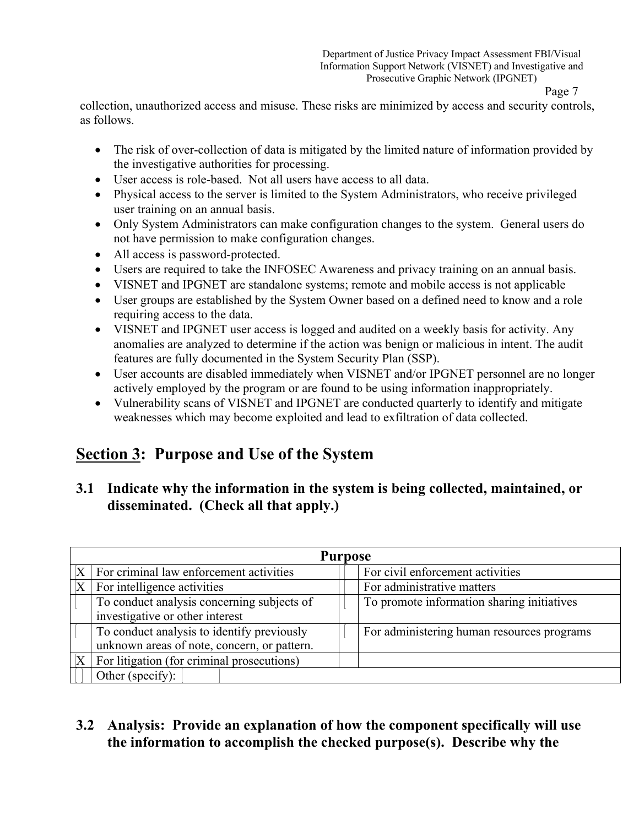collection, unauthorized access and misuse. These risks are minimized by access and security controls, as follows.

- The risk of over-collection of data is mitigated by the limited nature of information provided by the investigative authorities for processing.
- User access is role-based. Not all users have access to all data.
- Physical access to the server is limited to the System Administrators, who receive privileged user training on an annual basis.
- Only System Administrators can make configuration changes to the system. General users do not have permission to make configuration changes.
- All access is password-protected.
- Users are required to take the INFOSEC Awareness and privacy training on an annual basis.
- VISNET and IPGNET are standalone systems; remote and mobile access is not applicable
- User groups are established by the System Owner based on a defined need to know and a role requiring access to the data.
- VISNET and IPGNET user access is logged and audited on a weekly basis for activity. Any anomalies are analyzed to determine if the action was benign or malicious in intent. The audit features are fully documented in the System Security Plan (SSP).
- User accounts are disabled immediately when VISNET and/or IPGNET personnel are no longer actively employed by the program or are found to be using information inappropriately.
- Vulnerability scans of VISNET and IPGNET are conducted quarterly to identify and mitigate weaknesses which may become exploited and lead to exfiltration of data collected.

# **Section 3: Purpose and Use of the System**

### **3.1 Indicate why the information in the system is being collected, maintained, or disseminated. (Check all that apply.)**

| <b>Purpose</b>                              |  |                                            |  |  |  |  |  |  |  |
|---------------------------------------------|--|--------------------------------------------|--|--|--|--|--|--|--|
| For criminal law enforcement activities     |  | For civil enforcement activities           |  |  |  |  |  |  |  |
| For intelligence activities                 |  | For administrative matters                 |  |  |  |  |  |  |  |
| To conduct analysis concerning subjects of  |  | To promote information sharing initiatives |  |  |  |  |  |  |  |
| investigative or other interest             |  |                                            |  |  |  |  |  |  |  |
| To conduct analysis to identify previously  |  | For administering human resources programs |  |  |  |  |  |  |  |
| unknown areas of note, concern, or pattern. |  |                                            |  |  |  |  |  |  |  |
| For litigation (for criminal prosecutions)  |  |                                            |  |  |  |  |  |  |  |
| Other (specify):                            |  |                                            |  |  |  |  |  |  |  |

## **3.2 Analysis: Provide an explanation of how the component specifically will use the information to accomplish the checked purpose(s). Describe why the**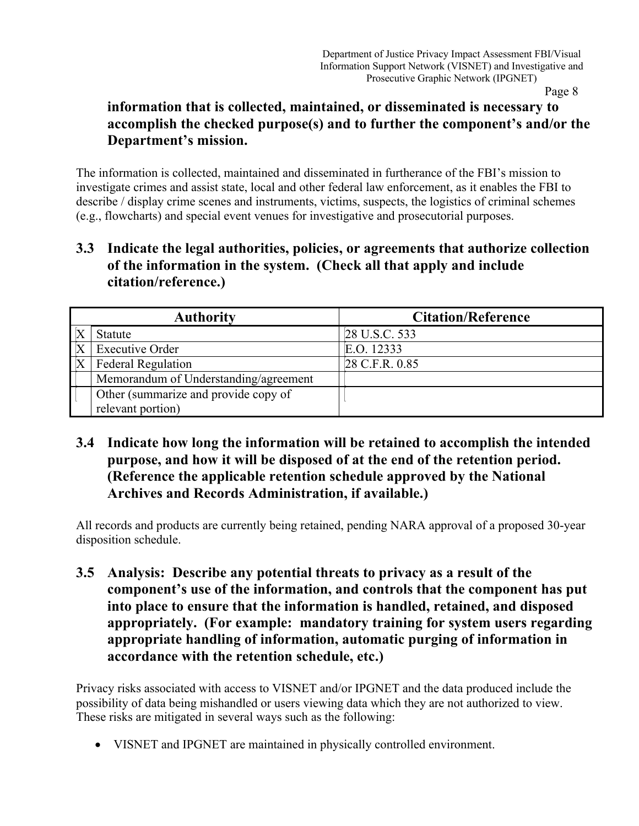### **information that is collected, maintained, or disseminated is necessary to accomplish the checked purpose(s) and to further the component's and/or the Department's mission.**

The information is collected, maintained and disseminated in furtherance of the FBI's mission to investigate crimes and assist state, local and other federal law enforcement, as it enables the FBI to describe / display crime scenes and instruments, victims, suspects, the logistics of criminal schemes (e.g., flowcharts) and special event venues for investigative and prosecutorial purposes.

### **3.3 Indicate the legal authorities, policies, or agreements that authorize collection of the information in the system. (Check all that apply and include citation/reference.)**

|                         | <b>Authority</b>                      | <b>Citation/Reference</b> |
|-------------------------|---------------------------------------|---------------------------|
| $\frac{X}{X}$           | Statute                               | 28 U.S.C. 533             |
|                         | <b>Executive Order</b>                | E.O. 12333                |
| $\overline{\mathbf{X}}$ | <b>Federal Regulation</b>             | 28 C.F.R. 0.85            |
|                         | Memorandum of Understanding/agreement |                           |
|                         | Other (summarize and provide copy of  |                           |
|                         | relevant portion)                     |                           |

**3.4 Indicate how long the information will be retained to accomplish the intended purpose, and how it will be disposed of at the end of the retention period. (Reference the applicable retention schedule approved by the National Archives and Records Administration, if available.)** 

All records and products are currently being retained, pending NARA approval of a proposed 30-year disposition schedule.

**3.5 Analysis: Describe any potential threats to privacy as a result of the component's use of the information, and controls that the component has put into place to ensure that the information is handled, retained, and disposed appropriately. (For example: mandatory training for system users regarding appropriate handling of information, automatic purging of information in accordance with the retention schedule, etc.)** 

Privacy risks associated with access to VISNET and/or IPGNET and the data produced include the possibility of data being mishandled or users viewing data which they are not authorized to view. These risks are mitigated in several ways such as the following:

• VISNET and IPGNET are maintained in physically controlled environment.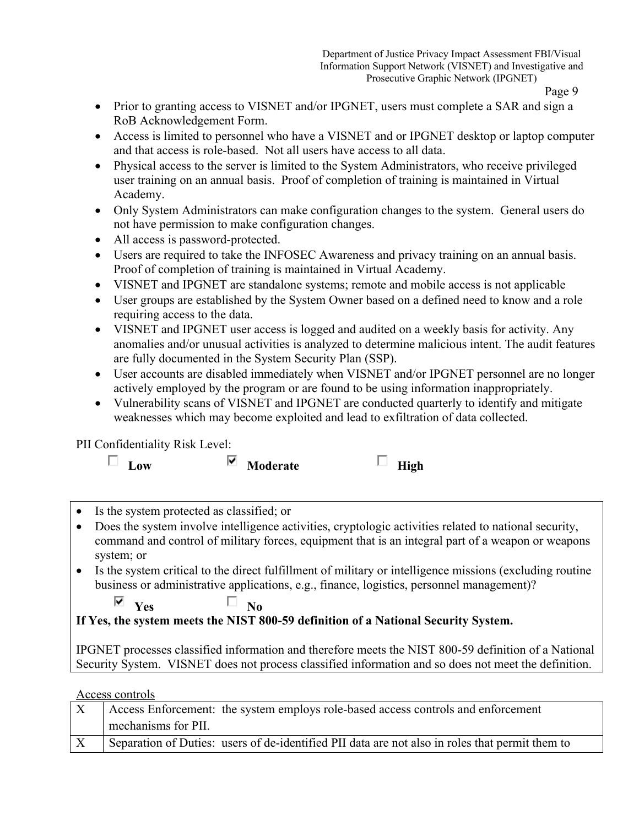- Prior to granting access to VISNET and/or IPGNET, users must complete a SAR and sign a RoB Acknowledgement Form.
- Access is limited to personnel who have a VISNET and or IPGNET desktop or laptop computer and that access is role-based. Not all users have access to all data.
- Physical access to the server is limited to the System Administrators, who receive privileged user training on an annual basis. Proof of completion of training is maintained in Virtual Academy.
- Only System Administrators can make configuration changes to the system. General users do not have permission to make configuration changes.
- All access is password-protected.
- Users are required to take the INFOSEC Awareness and privacy training on an annual basis. Proof of completion of training is maintained in Virtual Academy.
- VISNET and IPGNET are standalone systems; remote and mobile access is not applicable
- User groups are established by the System Owner based on a defined need to know and a role requiring access to the data.
- VISNET and IPGNET user access is logged and audited on a weekly basis for activity. Any anomalies and/or unusual activities is analyzed to determine malicious intent. The audit features are fully documented in the System Security Plan (SSP).
- User accounts are disabled immediately when VISNET and/or IPGNET personnel are no longer actively employed by the program or are found to be using information inappropriately.
- Vulnerability scans of VISNET and IPGNET are conducted quarterly to identify and mitigate weaknesses which may become exploited and lead to exfiltration of data collected.

#### PII Confidentiality Risk Level:

| 40 W |
|------|

| ∪OW |  |
|-----|--|

| ⊽ | Moderate |  | High |
|---|----------|--|------|
|---|----------|--|------|

- Is the system protected as classified; or
- Does the system involve intelligence activities, cryptologic activities related to national security, command and control of military forces, equipment that is an integral part of a weapon or weapons system; or
- Is the system critical to the direct fulfillment of military or intelligence missions (excluding routine business or administrative applications, e.g., finance, logistics, personnel management)?

 $\overline{\mathbf{v}}$   $\mathbf{v}_{\text{es}}$   $\Box$   $\mathbf{v}_{\text{o}}$ 

**If Yes, the system meets the NIST 800-59 definition of a National Security System.**

IPGNET processes classified information and therefore meets the NIST 800-59 definition of a National Security System. VISNET does not process classified information and so does not meet the definition.

Access controls

| Access Enforcement: the system employs role-based access controls and enforcement               |
|-------------------------------------------------------------------------------------------------|
| mechanisms for PII.                                                                             |
| Separation of Duties: users of de-identified PII data are not also in roles that permit them to |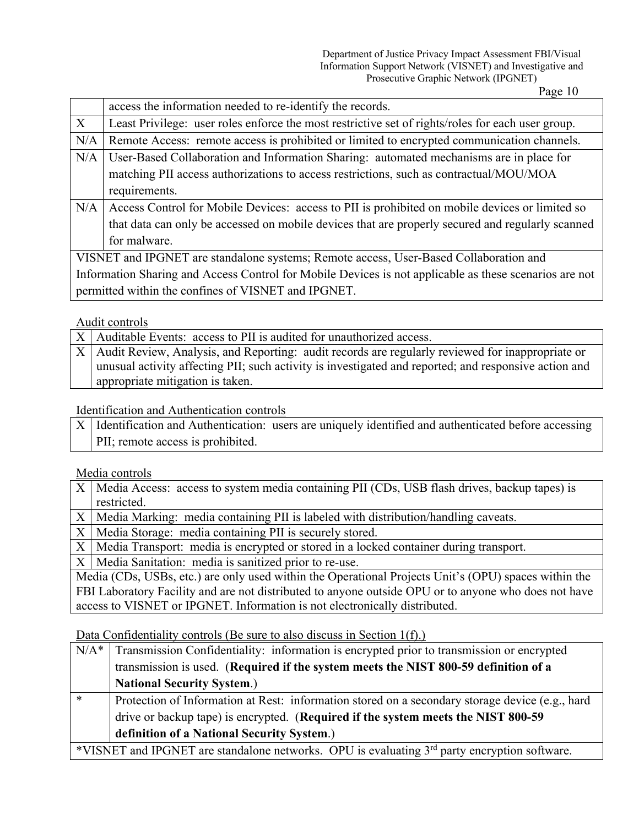Department of Justice Privacy Impact Assessment FBI/Visual Information Support Network (VISNET) and Investigative and Prosecutive Graphic Network (IPGNET)

Page 10

|     | access the information needed to re-identify the records.                                              |  |  |
|-----|--------------------------------------------------------------------------------------------------------|--|--|
| X   | Least Privilege: user roles enforce the most restrictive set of rights/roles for each user group.      |  |  |
| N/A | Remote Access: remote access is prohibited or limited to encrypted communication channels.             |  |  |
| N/A | User-Based Collaboration and Information Sharing: automated mechanisms are in place for                |  |  |
|     | matching PII access authorizations to access restrictions, such as contractual/MOU/MOA                 |  |  |
|     | requirements.                                                                                          |  |  |
| N/A | Access Control for Mobile Devices: access to PII is prohibited on mobile devices or limited so         |  |  |
|     | that data can only be accessed on mobile devices that are properly secured and regularly scanned       |  |  |
|     | for malware.                                                                                           |  |  |
|     | VISNET and IPGNET are standalone systems; Remote access, User-Based Collaboration and                  |  |  |
|     | Information Sharing and Access Control for Mobile Devices is not applicable as these scenarios are not |  |  |
|     | permitted within the confines of VISNET and IPGNET.                                                    |  |  |
|     |                                                                                                        |  |  |

#### Audit controls

 $X$  Auditable Events: access to PII is audited for unauthorized access.

X Audit Review, Analysis, and Reporting: audit records are regularly reviewed for inappropriate or unusual activity affecting PII; such activity is investigated and reported; and responsive action and appropriate mitigation is taken.

Identification and Authentication controls

| $X$   Identification and Authentication: users are uniquely identified and authenticated before accessing |  |
|-----------------------------------------------------------------------------------------------------------|--|
| PII; remote access is prohibited.                                                                         |  |

#### Media controls

| $X$   Media Access: access to system media containing PII (CDs, USB flash drives, backup tapes) is   |  |
|------------------------------------------------------------------------------------------------------|--|
| restricted.                                                                                          |  |
| X   Media Marking: media containing PII is labeled with distribution/handling caveats.               |  |
| X   Media Storage: media containing PII is securely stored.                                          |  |
| X   Media Transport: media is encrypted or stored in a locked container during transport.            |  |
| X   Media Sanitation: media is sanitized prior to re-use.                                            |  |
| Media (CDs, USBs, etc.) are only used within the Operational Projects Unit's (OPU) spaces within the |  |
| FBI Laboratory Facility and are not distributed to anyone outside OPU or to anyone who does not have |  |

access to VISNET or IPGNET. Information is not electronically distributed.

Data Confidentiality controls (Be sure to also discuss in Section 1(f).)

| $N/A^*$ | Transmission Confidentiality: information is encrypted prior to transmission or encrypted                |  |
|---------|----------------------------------------------------------------------------------------------------------|--|
|         | transmission is used. (Required if the system meets the NIST 800-59 definition of a                      |  |
|         | <b>National Security System.)</b>                                                                        |  |
| $\ast$  | Protection of Information at Rest: information stored on a secondary storage device (e.g., hard          |  |
|         | drive or backup tape) is encrypted. (Required if the system meets the NIST 800-59                        |  |
|         | definition of a National Security System.)                                                               |  |
|         | *VISNET and IPGNET are standalone networks. OPU is evaluating 3 <sup>rd</sup> party encryption software. |  |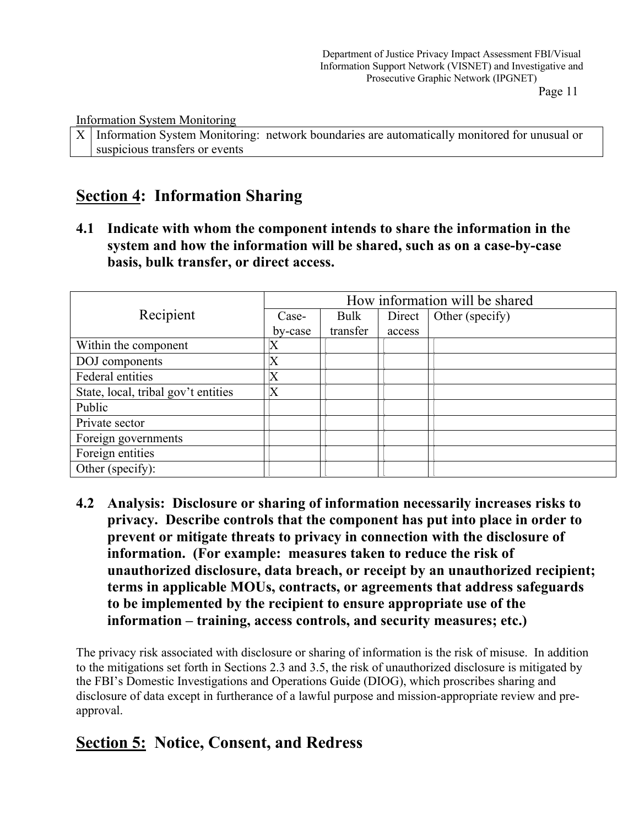Information System Monitoring

X Information System Monitoring: network boundaries are automatically monitored for unusual or suspicious transfers or events

# **Section 4: Information Sharing**

**4.1 Indicate with whom the component intends to share the information in the system and how the information will be shared, such as on a case-by-case basis, bulk transfer, or direct access.**

|                                     | How information will be shared |          |        |                 |
|-------------------------------------|--------------------------------|----------|--------|-----------------|
| Recipient                           | Case-                          | Bulk     | Direct | Other (specify) |
|                                     | by-case                        | transfer | access |                 |
| Within the component                | X                              |          |        |                 |
| DOJ components                      | $\mathbf X$                    |          |        |                 |
| Federal entities                    | $\boldsymbol{\mathrm{X}}$      |          |        |                 |
| State, local, tribal gov't entities | $\boldsymbol{\mathrm{X}}$      |          |        |                 |
| Public                              |                                |          |        |                 |
| Private sector                      |                                |          |        |                 |
| Foreign governments                 |                                |          |        |                 |
| Foreign entities                    |                                |          |        |                 |
| Other (specify):                    |                                |          |        |                 |

**4.2 Analysis: Disclosure or sharing of information necessarily increases risks to privacy. Describe controls that the component has put into place in order to prevent or mitigate threats to privacy in connection with the disclosure of information. (For example: measures taken to reduce the risk of unauthorized disclosure, data breach, or receipt by an unauthorized recipient; terms in applicable MOUs, contracts, or agreements that address safeguards to be implemented by the recipient to ensure appropriate use of the information – training, access controls, and security measures; etc.)**

The privacy risk associated with disclosure or sharing of information is the risk of misuse. In addition to the mitigations set forth in Sections 2.3 and 3.5, the risk of unauthorized disclosure is mitigated by the FBI's Domestic Investigations and Operations Guide (DIOG), which proscribes sharing and disclosure of data except in furtherance of a lawful purpose and mission-appropriate review and preapproval.

# **Section 5: Notice, Consent, and Redress**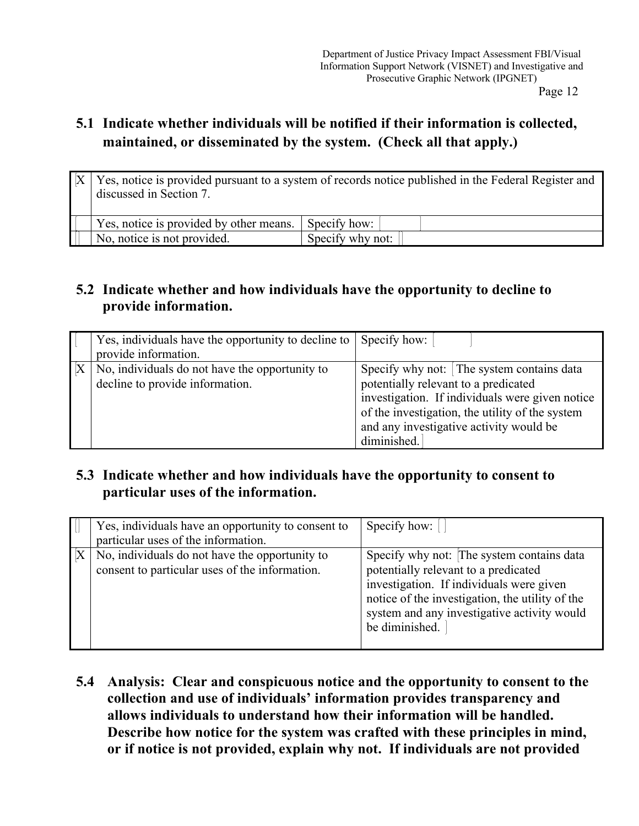# **5.1 Indicate whether individuals will be notified if their information is collected, maintained, or disseminated by the system. (Check all that apply.)**

| discussed in Section 7.                 | Yes, notice is provided pursuant to a system of records notice published in the Federal Register and |
|-----------------------------------------|------------------------------------------------------------------------------------------------------|
| Yes, notice is provided by other means. | Specify how:                                                                                         |
| No, notice is not provided.             | Specify why not:                                                                                     |

### **5.2 Indicate whether and how individuals have the opportunity to decline to provide information.**

| Yes, individuals have the opportunity to decline to Specify how: |                                                 |
|------------------------------------------------------------------|-------------------------------------------------|
| provide information.                                             |                                                 |
| No, individuals do not have the opportunity to                   | Specify why not: The system contains data       |
| decline to provide information.                                  | potentially relevant to a predicated            |
|                                                                  | investigation. If individuals were given notice |
|                                                                  | of the investigation, the utility of the system |
|                                                                  | and any investigative activity would be         |
|                                                                  | diminished.                                     |

## **5.3 Indicate whether and how individuals have the opportunity to consent to particular uses of the information.**

| Yes, individuals have an opportunity to consent to<br>particular uses of the information.        | Specify how: $\vert$                                                                                                                                                                                                                              |
|--------------------------------------------------------------------------------------------------|---------------------------------------------------------------------------------------------------------------------------------------------------------------------------------------------------------------------------------------------------|
| No, individuals do not have the opportunity to<br>consent to particular uses of the information. | Specify why not: The system contains data<br>potentially relevant to a predicated<br>investigation. If individuals were given<br>notice of the investigation, the utility of the<br>system and any investigative activity would<br>be diminished. |

**5.4 Analysis: Clear and conspicuous notice and the opportunity to consent to the collection and use of individuals' information provides transparency and allows individuals to understand how their information will be handled. Describe how notice for the system was crafted with these principles in mind, or if notice is not provided, explain why not. If individuals are not provided**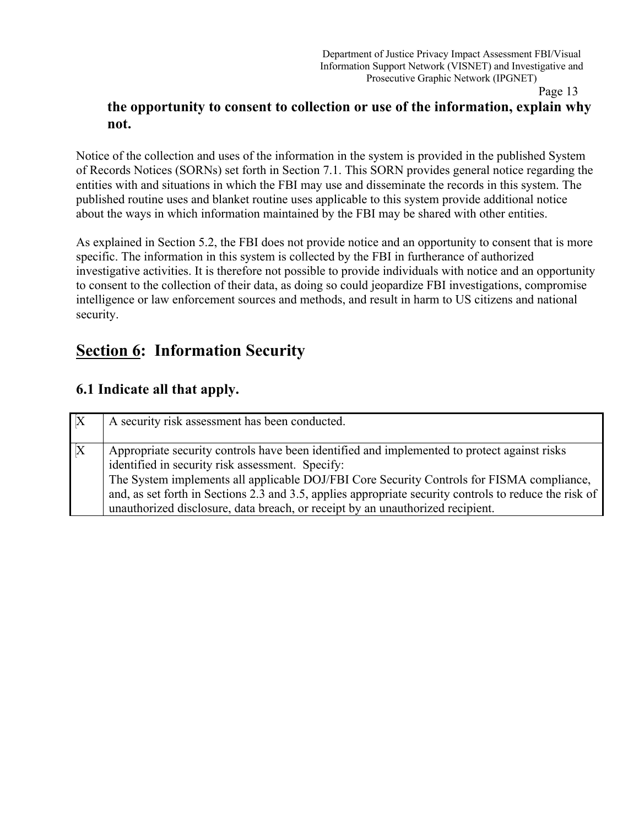### **the opportunity to consent to collection or use of the information, explain why not.**

Notice of the collection and uses of the information in the system is provided in the published System of Records Notices (SORNs) set forth in Section 7.1. This SORN provides general notice regarding the entities with and situations in which the FBI may use and disseminate the records in this system. The published routine uses and blanket routine uses applicable to this system provide additional notice about the ways in which information maintained by the FBI may be shared with other entities.

As explained in Section 5.2, the FBI does not provide notice and an opportunity to consent that is more specific. The information in this system is collected by the FBI in furtherance of authorized investigative activities. It is therefore not possible to provide individuals with notice and an opportunity to consent to the collection of their data, as doing so could jeopardize FBI investigations, compromise intelligence or law enforcement sources and methods, and result in harm to US citizens and national security.

# **Section 6: Information Security**

### **6.1 Indicate all that apply.**

| $\mathbf{X}$ | A security risk assessment has been conducted.                                                                                                                                                                                                                                                                                                                                                                                           |
|--------------|------------------------------------------------------------------------------------------------------------------------------------------------------------------------------------------------------------------------------------------------------------------------------------------------------------------------------------------------------------------------------------------------------------------------------------------|
| $\mathbf X$  | Appropriate security controls have been identified and implemented to protect against risks<br>identified in security risk assessment. Specify:<br>The System implements all applicable DOJ/FBI Core Security Controls for FISMA compliance,<br>and, as set forth in Sections 2.3 and 3.5, applies appropriate security controls to reduce the risk of<br>unauthorized disclosure, data breach, or receipt by an unauthorized recipient. |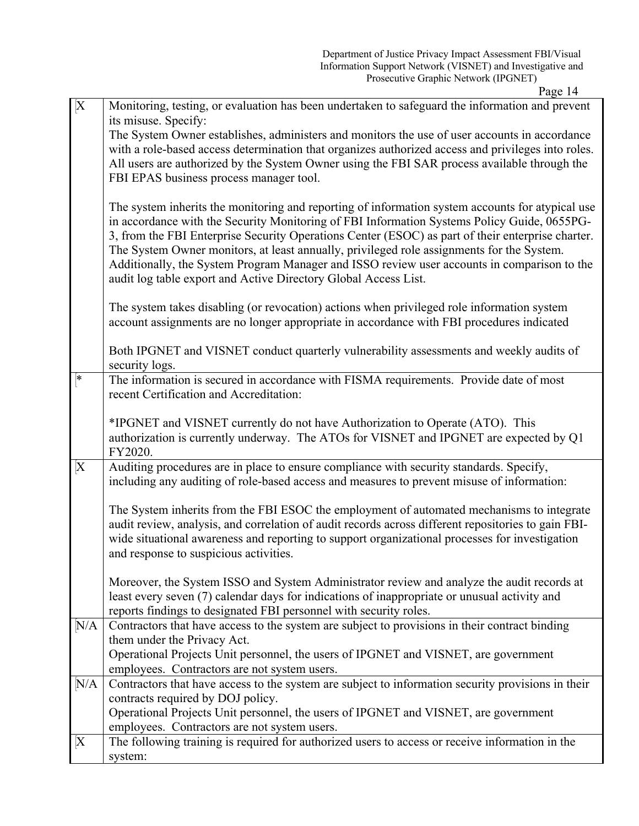| $\mathbf{X}$    | Monitoring, testing, or evaluation has been undertaken to safeguard the information and prevent                                                                                                                                                                                                                                                                                                                                                                                                                                                                     |
|-----------------|---------------------------------------------------------------------------------------------------------------------------------------------------------------------------------------------------------------------------------------------------------------------------------------------------------------------------------------------------------------------------------------------------------------------------------------------------------------------------------------------------------------------------------------------------------------------|
|                 | its misuse. Specify:                                                                                                                                                                                                                                                                                                                                                                                                                                                                                                                                                |
|                 | The System Owner establishes, administers and monitors the use of user accounts in accordance                                                                                                                                                                                                                                                                                                                                                                                                                                                                       |
|                 | with a role-based access determination that organizes authorized access and privileges into roles.                                                                                                                                                                                                                                                                                                                                                                                                                                                                  |
|                 | All users are authorized by the System Owner using the FBI SAR process available through the                                                                                                                                                                                                                                                                                                                                                                                                                                                                        |
|                 | FBI EPAS business process manager tool.                                                                                                                                                                                                                                                                                                                                                                                                                                                                                                                             |
|                 | The system inherits the monitoring and reporting of information system accounts for atypical use<br>in accordance with the Security Monitoring of FBI Information Systems Policy Guide, 0655PG-<br>3, from the FBI Enterprise Security Operations Center (ESOC) as part of their enterprise charter.<br>The System Owner monitors, at least annually, privileged role assignments for the System.<br>Additionally, the System Program Manager and ISSO review user accounts in comparison to the<br>audit log table export and Active Directory Global Access List. |
|                 | The system takes disabling (or revocation) actions when privileged role information system<br>account assignments are no longer appropriate in accordance with FBI procedures indicated                                                                                                                                                                                                                                                                                                                                                                             |
|                 | Both IPGNET and VISNET conduct quarterly vulnerability assessments and weekly audits of<br>security logs.                                                                                                                                                                                                                                                                                                                                                                                                                                                           |
| ∣∗              | The information is secured in accordance with FISMA requirements. Provide date of most                                                                                                                                                                                                                                                                                                                                                                                                                                                                              |
|                 | recent Certification and Accreditation:                                                                                                                                                                                                                                                                                                                                                                                                                                                                                                                             |
|                 |                                                                                                                                                                                                                                                                                                                                                                                                                                                                                                                                                                     |
|                 | *IPGNET and VISNET currently do not have Authorization to Operate (ATO). This                                                                                                                                                                                                                                                                                                                                                                                                                                                                                       |
|                 | authorization is currently underway. The ATOs for VISNET and IPGNET are expected by Q1<br>FY2020.                                                                                                                                                                                                                                                                                                                                                                                                                                                                   |
| $\vert X \vert$ | Auditing procedures are in place to ensure compliance with security standards. Specify,                                                                                                                                                                                                                                                                                                                                                                                                                                                                             |
|                 | including any auditing of role-based access and measures to prevent misuse of information:                                                                                                                                                                                                                                                                                                                                                                                                                                                                          |
|                 | The System inherits from the FBI ESOC the employment of automated mechanisms to integrate                                                                                                                                                                                                                                                                                                                                                                                                                                                                           |
|                 | audit review, analysis, and correlation of audit records across different repositories to gain FBI-                                                                                                                                                                                                                                                                                                                                                                                                                                                                 |
|                 | wide situational awareness and reporting to support organizational processes for investigation                                                                                                                                                                                                                                                                                                                                                                                                                                                                      |
|                 | and response to suspicious activities.                                                                                                                                                                                                                                                                                                                                                                                                                                                                                                                              |
|                 |                                                                                                                                                                                                                                                                                                                                                                                                                                                                                                                                                                     |
|                 | Moreover, the System ISSO and System Administrator review and analyze the audit records at                                                                                                                                                                                                                                                                                                                                                                                                                                                                          |
|                 | least every seven (7) calendar days for indications of inappropriate or unusual activity and                                                                                                                                                                                                                                                                                                                                                                                                                                                                        |
|                 | reports findings to designated FBI personnel with security roles.                                                                                                                                                                                                                                                                                                                                                                                                                                                                                                   |
| N/A             | Contractors that have access to the system are subject to provisions in their contract binding<br>them under the Privacy Act.                                                                                                                                                                                                                                                                                                                                                                                                                                       |
|                 | Operational Projects Unit personnel, the users of IPGNET and VISNET, are government                                                                                                                                                                                                                                                                                                                                                                                                                                                                                 |
|                 | employees. Contractors are not system users.                                                                                                                                                                                                                                                                                                                                                                                                                                                                                                                        |
| N/A             | Contractors that have access to the system are subject to information security provisions in their                                                                                                                                                                                                                                                                                                                                                                                                                                                                  |
|                 | contracts required by DOJ policy.                                                                                                                                                                                                                                                                                                                                                                                                                                                                                                                                   |
|                 | Operational Projects Unit personnel, the users of IPGNET and VISNET, are government                                                                                                                                                                                                                                                                                                                                                                                                                                                                                 |
|                 | employees. Contractors are not system users.                                                                                                                                                                                                                                                                                                                                                                                                                                                                                                                        |
| $\mathbf{X}$    | The following training is required for authorized users to access or receive information in the                                                                                                                                                                                                                                                                                                                                                                                                                                                                     |
|                 | system:                                                                                                                                                                                                                                                                                                                                                                                                                                                                                                                                                             |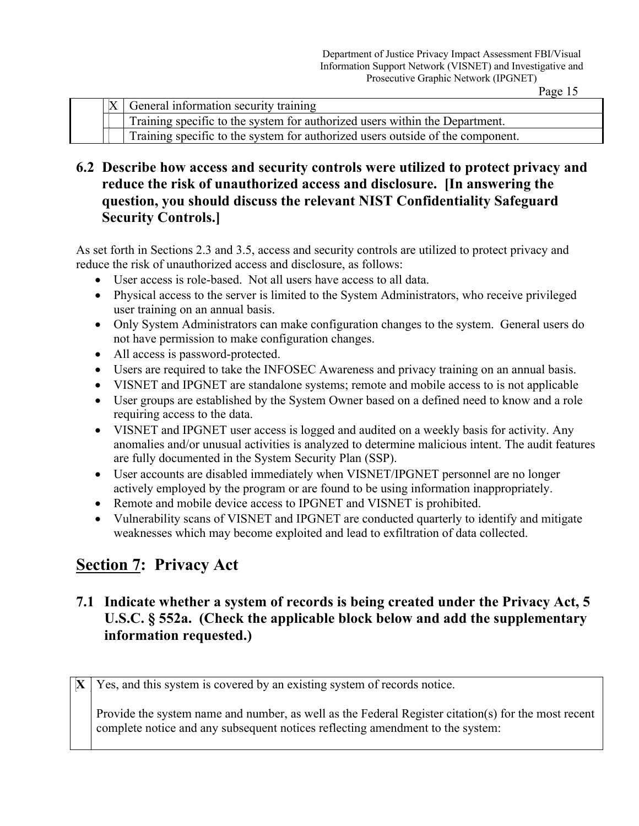|  | General information security training                                          |
|--|--------------------------------------------------------------------------------|
|  | Training specific to the system for authorized users within the Department.    |
|  | Training specific to the system for authorized users outside of the component. |

### **6.2 Describe how access and security controls were utilized to protect privacy and reduce the risk of unauthorized access and disclosure. [In answering the question, you should discuss the relevant NIST Confidentiality Safeguard Security Controls.]**

As set forth in Sections 2.3 and 3.5, access and security controls are utilized to protect privacy and reduce the risk of unauthorized access and disclosure, as follows:

- User access is role-based. Not all users have access to all data.
- Physical access to the server is limited to the System Administrators, who receive privileged user training on an annual basis.
- Only System Administrators can make configuration changes to the system. General users do not have permission to make configuration changes.
- All access is password-protected.
- Users are required to take the INFOSEC Awareness and privacy training on an annual basis.
- VISNET and IPGNET are standalone systems; remote and mobile access to is not applicable
- User groups are established by the System Owner based on a defined need to know and a role requiring access to the data.
- VISNET and IPGNET user access is logged and audited on a weekly basis for activity. Any anomalies and/or unusual activities is analyzed to determine malicious intent. The audit features are fully documented in the System Security Plan (SSP).
- User accounts are disabled immediately when VISNET/IPGNET personnel are no longer actively employed by the program or are found to be using information inappropriately.
- Remote and mobile device access to IPGNET and VISNET is prohibited.
- Vulnerability scans of VISNET and IPGNET are conducted quarterly to identify and mitigate weaknesses which may become exploited and lead to exfiltration of data collected.

# **Section 7: Privacy Act**

### **7.1 Indicate whether a system of records is being created under the Privacy Act, 5 U.S.C. § 552a. (Check the applicable block below and add the supplementary information requested.)**

 $\bf{X}$   $\bf{Y}$  es, and this system is covered by an existing system of records notice.

Provide the system name and number, as well as the Federal Register citation(s) for the most recent complete notice and any subsequent notices reflecting amendment to the system: